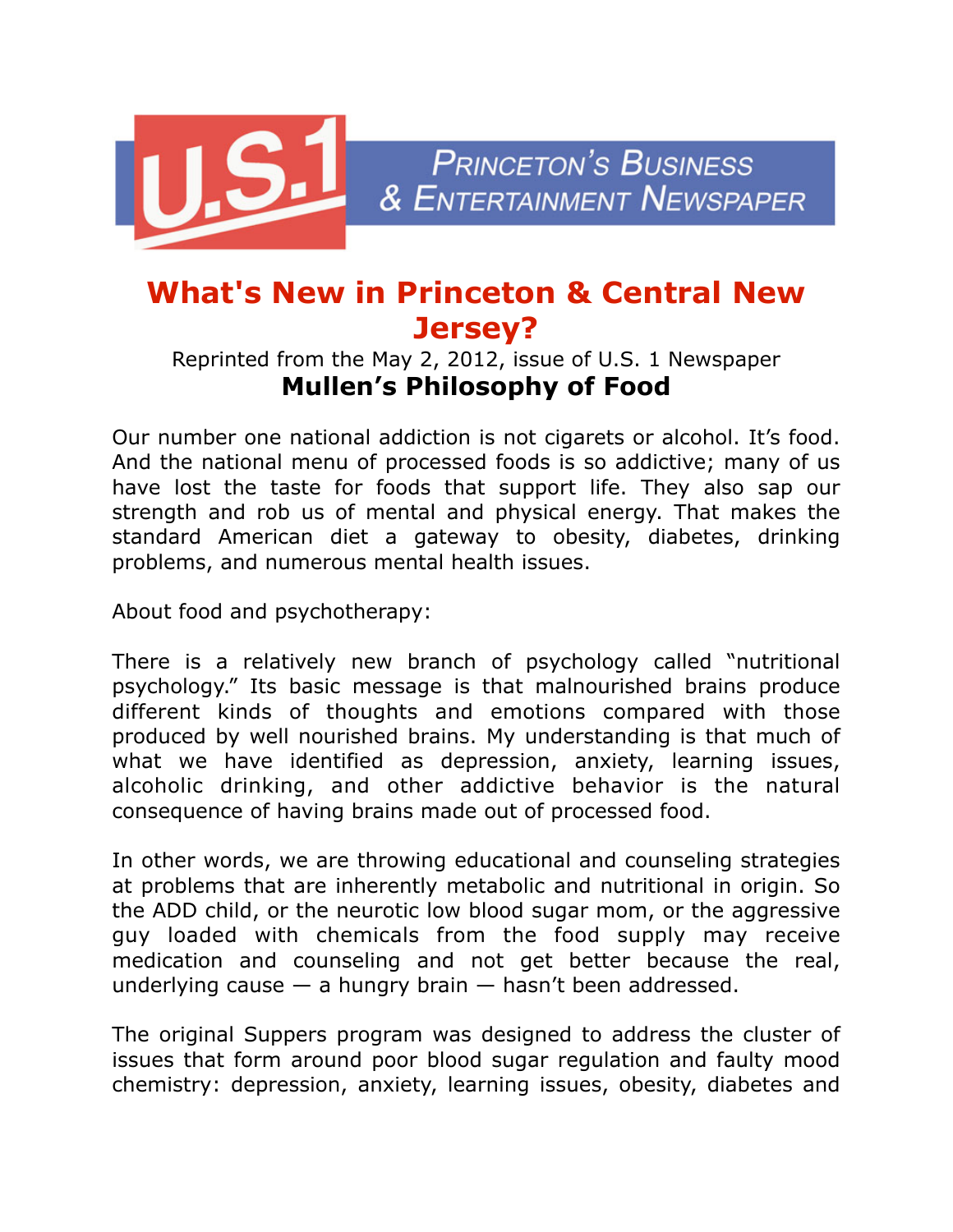

## **What's New in Princeton & Central New Jersey?**

## Reprinted from the May 2, 2012, issue of U.S. 1 Newspaper **Mullen's Philosophy of Food**

Our number one national addiction is not cigarets or alcohol. It's food. And the national menu of processed foods is so addictive; many of us have lost the taste for foods that support life. They also sap our strength and rob us of mental and physical energy. That makes the standard American diet a gateway to obesity, diabetes, drinking problems, and numerous mental health issues.

About food and psychotherapy:

There is a relatively new branch of psychology called "nutritional psychology." Its basic message is that malnourished brains produce different kinds of thoughts and emotions compared with those produced by well nourished brains. My understanding is that much of what we have identified as depression, anxiety, learning issues, alcoholic drinking, and other addictive behavior is the natural consequence of having brains made out of processed food.

In other words, we are throwing educational and counseling strategies at problems that are inherently metabolic and nutritional in origin. So the ADD child, or the neurotic low blood sugar mom, or the aggressive guy loaded with chemicals from the food supply may receive medication and counseling and not get better because the real, underlying cause  $-$  a hungry brain  $-$  hasn't been addressed.

The original Suppers program was designed to address the cluster of issues that form around poor blood sugar regulation and faulty mood chemistry: depression, anxiety, learning issues, obesity, diabetes and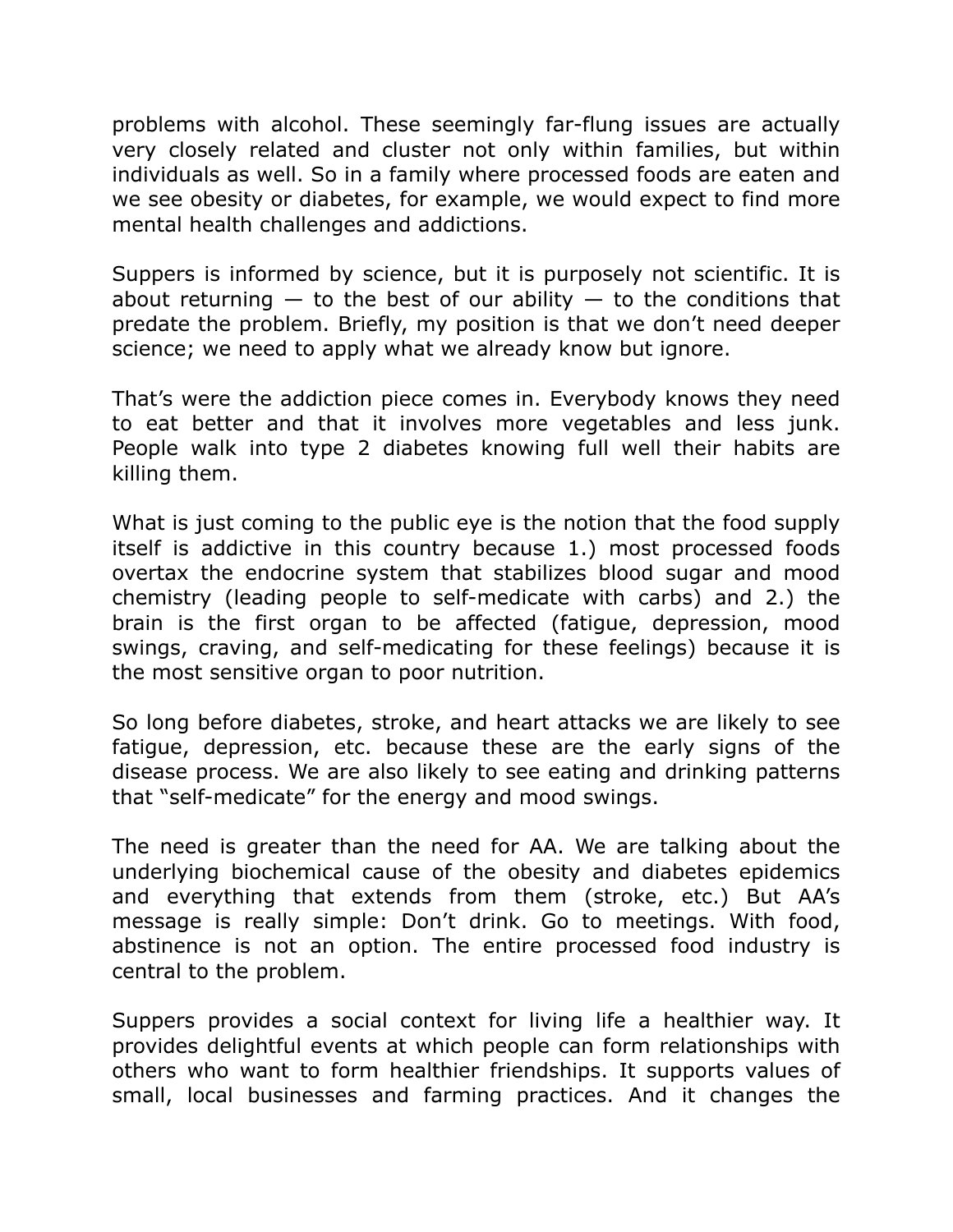problems with alcohol. These seemingly far-flung issues are actually very closely related and cluster not only within families, but within individuals as well. So in a family where processed foods are eaten and we see obesity or diabetes, for example, we would expect to find more mental health challenges and addictions.

Suppers is informed by science, but it is purposely not scientific. It is about returning  $-$  to the best of our ability  $-$  to the conditions that predate the problem. Briefly, my position is that we don't need deeper science; we need to apply what we already know but ignore.

That's were the addiction piece comes in. Everybody knows they need to eat better and that it involves more vegetables and less junk. People walk into type 2 diabetes knowing full well their habits are killing them.

What is just coming to the public eye is the notion that the food supply itself is addictive in this country because 1.) most processed foods overtax the endocrine system that stabilizes blood sugar and mood chemistry (leading people to self-medicate with carbs) and 2.) the brain is the first organ to be affected (fatigue, depression, mood swings, craving, and self-medicating for these feelings) because it is the most sensitive organ to poor nutrition.

So long before diabetes, stroke, and heart attacks we are likely to see fatigue, depression, etc. because these are the early signs of the disease process. We are also likely to see eating and drinking patterns that "self-medicate" for the energy and mood swings.

The need is greater than the need for AA. We are talking about the underlying biochemical cause of the obesity and diabetes epidemics and everything that extends from them (stroke, etc.) But AA's message is really simple: Don't drink. Go to meetings. With food, abstinence is not an option. The entire processed food industry is central to the problem.

Suppers provides a social context for living life a healthier way. It provides delightful events at which people can form relationships with others who want to form healthier friendships. It supports values of small, local businesses and farming practices. And it changes the